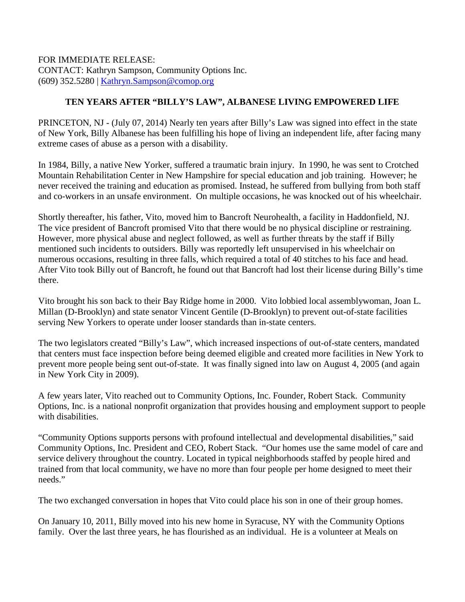FOR IMMEDIATE RELEASE: CONTACT: Kathryn Sampson, Community Options Inc. (609) 352.5280 | [Kathryn.Sampson@comop.org](mailto:Kathryn.Sampson@comop.org)

## **TEN YEARS AFTER "BILLY'S LAW", ALBANESE LIVING EMPOWERED LIFE**

PRINCETON, NJ - (July 07, 2014) Nearly ten years after Billy's Law was signed into effect in the state of New York, Billy Albanese has been fulfilling his hope of living an independent life, after facing many extreme cases of abuse as a person with a disability.

In 1984, Billy, a native New Yorker, suffered a traumatic brain injury. In 1990, he was sent to Crotched Mountain Rehabilitation Center in New Hampshire for special education and job training. However; he never received the training and education as promised. Instead, he suffered from bullying from both staff and co-workers in an unsafe environment. On multiple occasions, he was knocked out of his wheelchair.

Shortly thereafter, his father, Vito, moved him to Bancroft Neurohealth, a facility in Haddonfield, NJ. The vice president of Bancroft promised Vito that there would be no physical discipline or restraining. However, more physical abuse and neglect followed, as well as further threats by the staff if Billy mentioned such incidents to outsiders. Billy was reportedly left unsupervised in his wheelchair on numerous occasions, resulting in three falls, which required a total of 40 stitches to his face and head. After Vito took Billy out of Bancroft, he found out that Bancroft had lost their license during Billy's time there.

Vito brought his son back to their Bay Ridge home in 2000. Vito lobbied local assemblywoman, Joan L. Millan (D-Brooklyn) and state senator Vincent Gentile (D-Brooklyn) to prevent out-of-state facilities serving New Yorkers to operate under looser standards than in-state centers.

The two legislators created "Billy's Law", which increased inspections of out-of-state centers, mandated that centers must face inspection before being deemed eligible and created more facilities in New York to prevent more people being sent out-of-state. It was finally signed into law on August 4, 2005 (and again in New York City in 2009).

A few years later, Vito reached out to Community Options, Inc. Founder, Robert Stack. Community Options, Inc. is a national nonprofit organization that provides housing and employment support to people with disabilities.

"Community Options supports persons with profound intellectual and developmental disabilities," said Community Options, Inc. President and CEO, Robert Stack. "Our homes use the same model of care and service delivery throughout the country. Located in typical neighborhoods staffed by people hired and trained from that local community, we have no more than four people per home designed to meet their needs."

The two exchanged conversation in hopes that Vito could place his son in one of their group homes.

On January 10, 2011, Billy moved into his new home in Syracuse, NY with the Community Options family. Over the last three years, he has flourished as an individual. He is a volunteer at Meals on